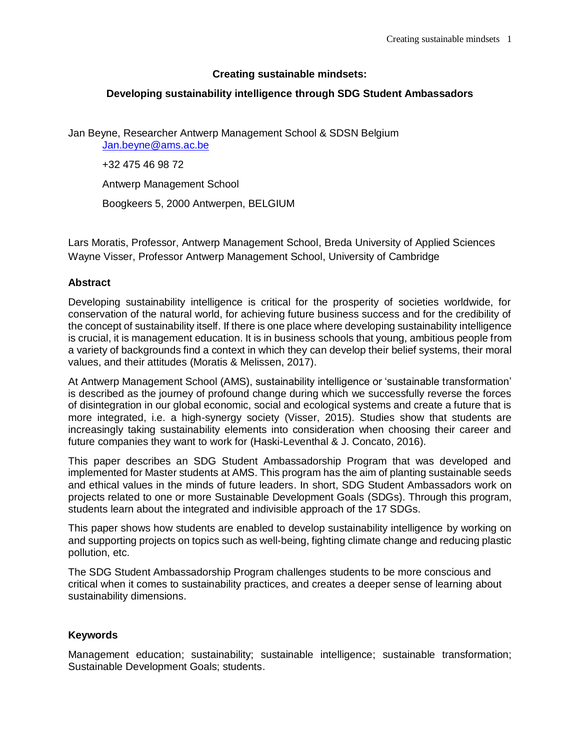# **Creating sustainable mindsets:**

# **Developing sustainability intelligence through SDG Student Ambassadors**

Jan Beyne, Researcher Antwerp Management School & SDSN Belgium [Jan.beyne@ams.ac.be](mailto:Jan.beyne@ams.ac.be)

+32 475 46 98 72

Antwerp Management School

Boogkeers 5, 2000 Antwerpen, BELGIUM

Lars Moratis, Professor, Antwerp Management School, Breda University of Applied Sciences Wayne Visser, Professor Antwerp Management School, University of Cambridge

## **Abstract**

Developing sustainability intelligence is critical for the prosperity of societies worldwide, for conservation of the natural world, for achieving future business success and for the credibility of the concept of sustainability itself. If there is one place where developing sustainability intelligence is crucial, it is management education. It is in business schools that young, ambitious people from a variety of backgrounds find a context in which they can develop their belief systems, their moral values, and their attitudes (Moratis & Melissen, 2017).

At Antwerp Management School (AMS), sustainability intelligence or 'sustainable transformation' is described as the journey of profound change during which we successfully reverse the forces of disintegration in our global economic, social and ecological systems and create a future that is more integrated, i.e. a high-synergy society (Visser, 2015). Studies show that students are increasingly taking sustainability elements into consideration when choosing their career and future companies they want to work for (Haski-Leventhal & J. Concato, 2016).

This paper describes an SDG Student Ambassadorship Program that was developed and implemented for Master students at AMS. This program has the aim of planting sustainable seeds and ethical values in the minds of future leaders. In short, SDG Student Ambassadors work on projects related to one or more Sustainable Development Goals (SDGs). Through this program, students learn about the integrated and indivisible approach of the 17 SDGs.

This paper shows how students are enabled to develop sustainability intelligence by working on and supporting projects on topics such as well-being, fighting climate change and reducing plastic pollution, etc.

The SDG Student Ambassadorship Program challenges students to be more conscious and critical when it comes to sustainability practices, and creates a deeper sense of learning about sustainability dimensions.

## **Keywords**

Management education; sustainability; sustainable intelligence; sustainable transformation; Sustainable Development Goals; students.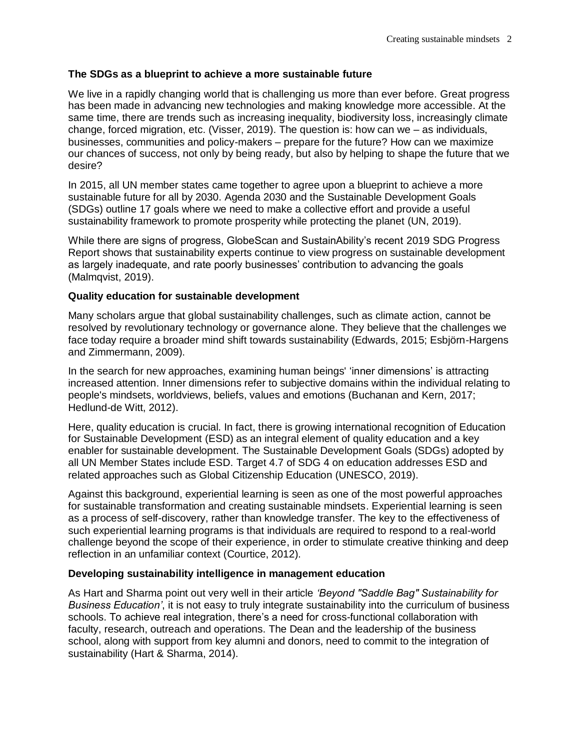# **The SDGs as a blueprint to achieve a more sustainable future**

We live in a rapidly changing world that is challenging us more than ever before. Great progress has been made in advancing new technologies and making knowledge more accessible. At the same time, there are trends such as increasing inequality, biodiversity loss, increasingly climate change, forced migration, etc. (Visser, 2019). The question is: how can we – as individuals, businesses, communities and policy-makers – prepare for the future? How can we maximize our chances of success, not only by being ready, but also by helping to shape the future that we desire?

In 2015, all UN member states came together to agree upon a blueprint to achieve a more sustainable future for all by 2030. Agenda 2030 and the Sustainable Development Goals (SDGs) outline 17 goals where we need to make a collective effort and provide a useful sustainability framework to promote prosperity while protecting the planet (UN, 2019).

While there are signs of progress, GlobeScan and SustainAbility's recent 2019 SDG Progress Report shows that sustainability experts continue to view progress on sustainable development as largely inadequate, and rate poorly businesses' contribution to advancing the goals (Malmqvist, 2019).

## **Quality education for sustainable development**

Many scholars argue that global sustainability challenges, such as climate action, cannot be resolved by revolutionary technology or governance alone. They believe that the challenges we face today require a broader mind shift towards sustainability (Edwards, 2015; Esbjörn-Hargens and Zimmermann, 2009).

In the search for new approaches, examining human beings' 'inner dimensions' is attracting increased attention. Inner dimensions refer to subjective domains within the individual relating to people's mindsets, worldviews, beliefs, values and emotions (Buchanan and Kern, 2017; Hedlund-de Witt, 2012).

Here, quality education is crucial. In fact, there is growing international recognition of Education for Sustainable Development (ESD) as an integral element of quality education and a key enabler for sustainable development. The Sustainable Development Goals (SDGs) adopted by all UN Member States include ESD. Target 4.7 of SDG 4 on education addresses ESD and related approaches such as Global Citizenship Education (UNESCO, 2019).

Against this background, experiential learning is seen as one of the most powerful approaches for sustainable transformation and creating sustainable mindsets. Experiential learning is seen as a process of self-discovery, rather than knowledge transfer. The key to the effectiveness of such experiential learning programs is that individuals are required to respond to a real-world challenge beyond the scope of their experience, in order to stimulate creative thinking and deep reflection in an unfamiliar context (Courtice, 2012).

## **Developing sustainability intelligence in management education**

As Hart and Sharma point out very well in their article *'Beyond "Saddle Bag" Sustainability for Business Education'*, it is not easy to truly integrate sustainability into the curriculum of business schools. To achieve real integration, there's a need for cross-functional collaboration with faculty, research, outreach and operations. The Dean and the leadership of the business school, along with support from key alumni and donors, need to commit to the integration of sustainability (Hart & Sharma, 2014).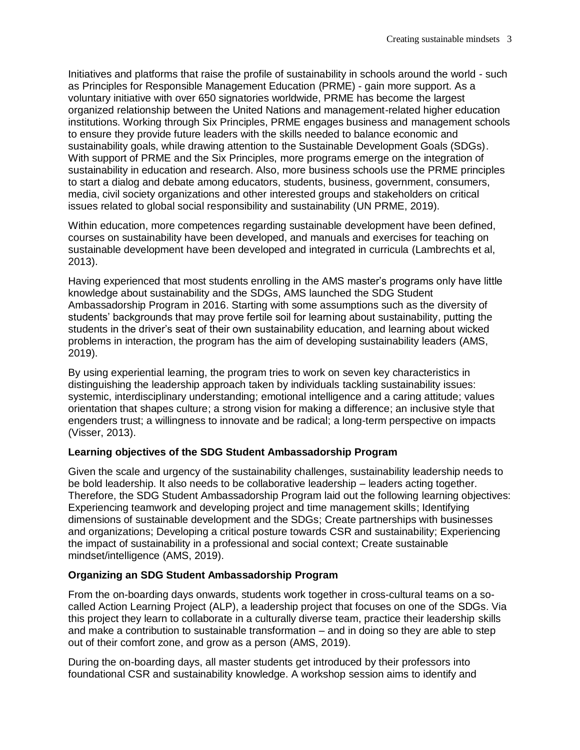Initiatives and platforms that raise the profile of sustainability in schools around the world - such as Principles for Responsible Management Education (PRME) - gain more support. As a voluntary initiative with over 650 signatories worldwide, PRME has become the largest organized relationship between the United Nations and management-related higher education institutions. Working through Six Principles, PRME engages business and management schools to ensure they provide future leaders with the skills needed to balance economic and sustainability goals, while drawing attention to the Sustainable Development Goals (SDGs). With support of PRME and the Six Principles, more programs emerge on the integration of sustainability in education and research. Also, more business schools use the PRME principles to start a dialog and debate among educators, students, business, government, consumers, media, civil society organizations and other interested groups and stakeholders on critical issues related to global social responsibility and sustainability (UN PRME, 2019).

Within education, more competences regarding sustainable development have been defined, courses on sustainability have been developed, and manuals and exercises for teaching on sustainable development have been developed and integrated in curricula (Lambrechts et al, 2013).

Having experienced that most students enrolling in the AMS master's programs only have little knowledge about sustainability and the SDGs, AMS launched the SDG Student Ambassadorship Program in 2016. Starting with some assumptions such as the diversity of students' backgrounds that may prove fertile soil for learning about sustainability, putting the students in the driver's seat of their own sustainability education, and learning about wicked problems in interaction, the program has the aim of developing sustainability leaders (AMS, 2019).

By using experiential learning, the program tries to work on seven key characteristics in distinguishing the leadership approach taken by individuals tackling sustainability issues: systemic, interdisciplinary understanding; emotional intelligence and a caring attitude; values orientation that shapes culture; a strong vision for making a difference; an inclusive style that engenders trust; a willingness to innovate and be radical; a long-term perspective on impacts (Visser, 2013).

## **Learning objectives of the SDG Student Ambassadorship Program**

Given the scale and urgency of the sustainability challenges, sustainability leadership needs to be bold leadership. It also needs to be collaborative leadership – leaders acting together. Therefore, the SDG Student Ambassadorship Program laid out the following learning objectives: Experiencing teamwork and developing project and time management skills; Identifying dimensions of sustainable development and the SDGs; Create partnerships with businesses and organizations; Developing a critical posture towards CSR and sustainability; Experiencing the impact of sustainability in a professional and social context; Create sustainable mindset/intelligence (AMS, 2019).

## **Organizing an SDG Student Ambassadorship Program**

From the on-boarding days onwards, students work together in cross-cultural teams on a socalled Action Learning Project (ALP), a leadership project that focuses on one of the SDGs. Via this project they learn to collaborate in a culturally diverse team, practice their leadership skills and make a contribution to sustainable transformation – and in doing so they are able to step out of their comfort zone, and grow as a person (AMS, 2019).

During the on-boarding days, all master students get introduced by their professors into foundational CSR and sustainability knowledge. A workshop session aims to identify and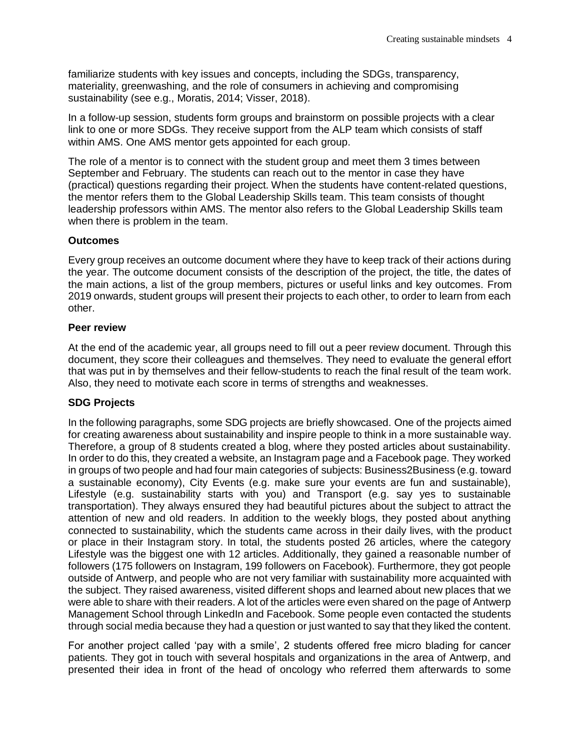familiarize students with key issues and concepts, including the SDGs, transparency, materiality, greenwashing, and the role of consumers in achieving and compromising sustainability (see e.g., Moratis, 2014; Visser, 2018).

In a follow-up session, students form groups and brainstorm on possible projects with a clear link to one or more SDGs. They receive support from the ALP team which consists of staff within AMS. One AMS mentor gets appointed for each group.

The role of a mentor is to connect with the student group and meet them 3 times between September and February. The students can reach out to the mentor in case they have (practical) questions regarding their project. When the students have content-related questions, the mentor refers them to the Global Leadership Skills team. This team consists of thought leadership professors within AMS. The mentor also refers to the Global Leadership Skills team when there is problem in the team.

#### **Outcomes**

Every group receives an outcome document where they have to keep track of their actions during the year. The outcome document consists of the description of the project, the title, the dates of the main actions, a list of the group members, pictures or useful links and key outcomes. From 2019 onwards, student groups will present their projects to each other, to order to learn from each other.

#### **Peer review**

At the end of the academic year, all groups need to fill out a peer review document. Through this document, they score their colleagues and themselves. They need to evaluate the general effort that was put in by themselves and their fellow-students to reach the final result of the team work. Also, they need to motivate each score in terms of strengths and weaknesses.

## **SDG Projects**

In the following paragraphs, some SDG projects are briefly showcased. One of the projects aimed for creating awareness about sustainability and inspire people to think in a more sustainable way. Therefore, a group of 8 students created a blog, where they posted articles about sustainability. In order to do this, they created a website, an Instagram page and a Facebook page. They worked in groups of two people and had four main categories of subjects: Business2Business (e.g. toward a sustainable economy), City Events (e.g. make sure your events are fun and sustainable), Lifestyle (e.g. sustainability starts with you) and Transport (e.g. say yes to sustainable transportation). They always ensured they had beautiful pictures about the subject to attract the attention of new and old readers. In addition to the weekly blogs, they posted about anything connected to sustainability, which the students came across in their daily lives, with the product or place in their Instagram story. In total, the students posted 26 articles, where the category Lifestyle was the biggest one with 12 articles. Additionally, they gained a reasonable number of followers (175 followers on Instagram, 199 followers on Facebook). Furthermore, they got people outside of Antwerp, and people who are not very familiar with sustainability more acquainted with the subject. They raised awareness, visited different shops and learned about new places that we were able to share with their readers. A lot of the articles were even shared on the page of Antwerp Management School through LinkedIn and Facebook. Some people even contacted the students through social media because they had a question or just wanted to say that they liked the content.

For another project called 'pay with a smile', 2 students offered free micro blading for cancer patients. They got in touch with several hospitals and organizations in the area of Antwerp, and presented their idea in front of the head of oncology who referred them afterwards to some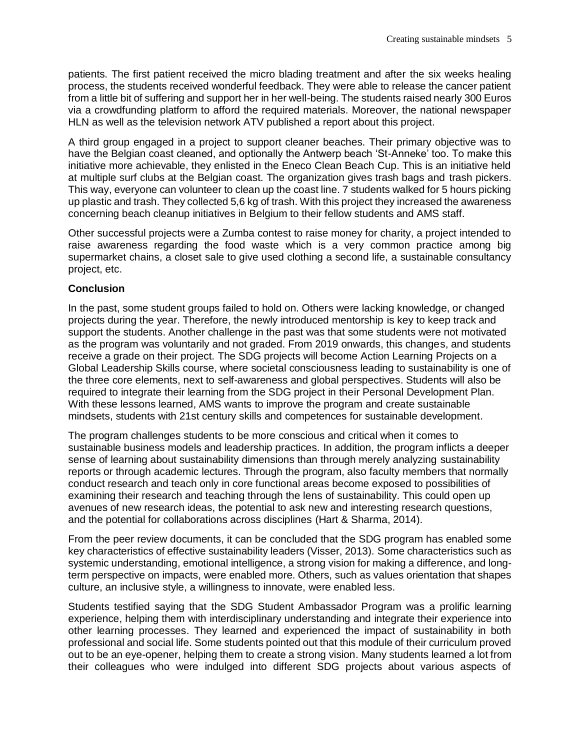patients. The first patient received the micro blading treatment and after the six weeks healing process, the students received wonderful feedback. They were able to release the cancer patient from a little bit of suffering and support her in her well-being. The students raised nearly 300 Euros via a crowdfunding platform to afford the required materials. Moreover, the national newspaper HLN as well as the television network ATV published a report about this project.

A third group engaged in a project to support cleaner beaches. Their primary objective was to have the Belgian coast cleaned, and optionally the Antwerp beach 'St-Anneke' too. To make this initiative more achievable, they enlisted in the Eneco Clean Beach Cup. This is an initiative held at multiple surf clubs at the Belgian coast. The organization gives trash bags and trash pickers. This way, everyone can volunteer to clean up the coast line. 7 students walked for 5 hours picking up plastic and trash. They collected 5,6 kg of trash. With this project they increased the awareness concerning beach cleanup initiatives in Belgium to their fellow students and AMS staff.

Other successful projects were a Zumba contest to raise money for charity, a project intended to raise awareness regarding the food waste which is a very common practice among big supermarket chains, a closet sale to give used clothing a second life, a sustainable consultancy project, etc.

#### **Conclusion**

In the past, some student groups failed to hold on. Others were lacking knowledge, or changed projects during the year. Therefore, the newly introduced mentorship is key to keep track and support the students. Another challenge in the past was that some students were not motivated as the program was voluntarily and not graded. From 2019 onwards, this changes, and students receive a grade on their project. The SDG projects will become Action Learning Projects on a Global Leadership Skills course, where societal consciousness leading to sustainability is one of the three core elements, next to self-awareness and global perspectives. Students will also be required to integrate their learning from the SDG project in their Personal Development Plan. With these lessons learned, AMS wants to improve the program and create sustainable mindsets, students with 21st century skills and competences for sustainable development.

The program challenges students to be more conscious and critical when it comes to sustainable business models and leadership practices. In addition, the program inflicts a deeper sense of learning about sustainability dimensions than through merely analyzing sustainability reports or through academic lectures. Through the program, also faculty members that normally conduct research and teach only in core functional areas become exposed to possibilities of examining their research and teaching through the lens of sustainability. This could open up avenues of new research ideas, the potential to ask new and interesting research questions, and the potential for collaborations across disciplines (Hart & Sharma, 2014).

From the peer review documents, it can be concluded that the SDG program has enabled some key characteristics of effective sustainability leaders (Visser, 2013). Some characteristics such as systemic understanding, emotional intelligence, a strong vision for making a difference, and longterm perspective on impacts, were enabled more. Others, such as values orientation that shapes culture, an inclusive style, a willingness to innovate, were enabled less.

Students testified saying that the SDG Student Ambassador Program was a prolific learning experience, helping them with interdisciplinary understanding and integrate their experience into other learning processes. They learned and experienced the impact of sustainability in both professional and social life. Some students pointed out that this module of their curriculum proved out to be an eye-opener, helping them to create a strong vision. Many students learned a lot from their colleagues who were indulged into different SDG projects about various aspects of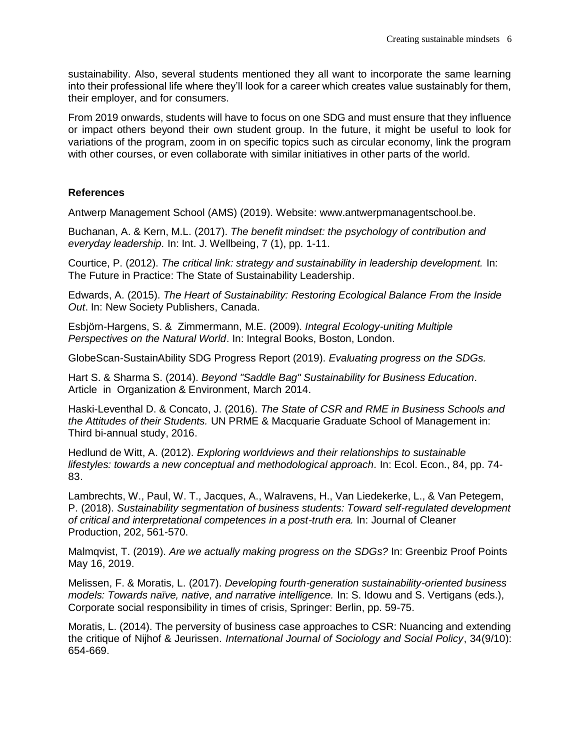sustainability. Also, several students mentioned they all want to incorporate the same learning into their professional life where they'll look for a career which creates value sustainably for them, their employer, and for consumers.

From 2019 onwards, students will have to focus on one SDG and must ensure that they influence or impact others beyond their own student group. In the future, it might be useful to look for variations of the program, zoom in on specific topics such as circular economy, link the program with other courses, or even collaborate with similar initiatives in other parts of the world.

#### **References**

Antwerp Management School (AMS) (2019). Website: www.antwerpmanagentschool.be.

Buchanan, A. & Kern, M.L. (2017). *The benefit mindset: the psychology of contribution and everyday leadership.* In: Int. J. Wellbeing, 7 (1), pp. 1-11.

Courtice, P. (2012). *The critical link: strategy and sustainability in leadership development.* In: The Future in Practice: The State of Sustainability Leadership.

Edwards, A. (2015). *The Heart of Sustainability: Restoring Ecological Balance From the Inside Out*. In: New Society Publishers, Canada.

Esbjörn-Hargens, S. & Zimmermann, M.E. (2009). *Integral Ecology-uniting Multiple Perspectives on the Natural World*. In: Integral Books, Boston, London.

GlobeScan-SustainAbility SDG Progress Report (2019). *Evaluating progress on the SDGs.* 

Hart S. & Sharma S. (2014). *Beyond "Saddle Bag" Sustainability for Business Education.*  Article in Organization & Environment, March 2014.

Haski-Leventhal D. & Concato, J. (2016). *The State of CSR and RME in Business Schools and the Attitudes of their Students.* UN PRME & Macquarie Graduate School of Management in: Third bi-annual study, 2016.

Hedlund de Witt, A. (2012). *Exploring worldviews and their relationships to sustainable lifestyles: towards a new conceptual and methodological approach.* In: Ecol. Econ., 84, pp. 74- 83.

Lambrechts, W., Paul, W. T., Jacques, A., Walravens, H., Van Liedekerke, L., & Van Petegem, P. (2018). *Sustainability segmentation of business students: Toward self-regulated development of critical and interpretational competences in a post-truth era.* In: Journal of Cleaner Production, 202, 561-570.

Malmqvist, T. (2019). *Are we actually making progress on the SDGs?* In: Greenbiz Proof Points May 16, 2019.

Melissen, F. & Moratis, L. (2017). *Developing fourth-generation sustainability-oriented business models: Towards naïve, native, and narrative intelligence.* In: S. Idowu and S. Vertigans (eds.), Corporate social responsibility in times of crisis, Springer: Berlin, pp. 59-75.

Moratis, L. (2014). The perversity of business case approaches to CSR: Nuancing and extending the critique of Nijhof & Jeurissen. *International Journal of Sociology and Social Policy*, 34(9/10): 654-669.